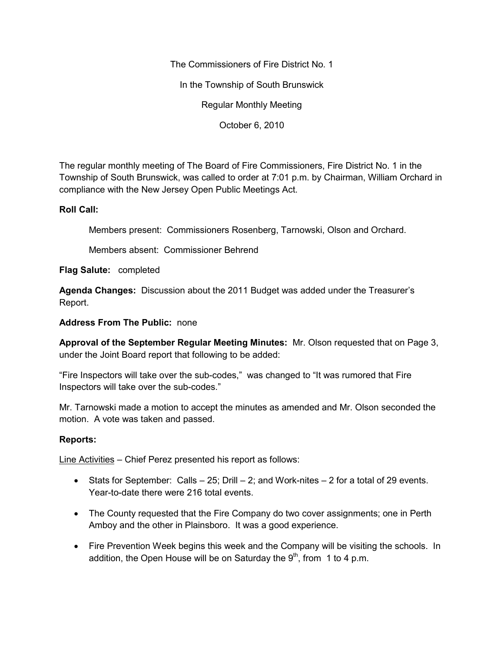The Commissioners of Fire District No. 1

In the Township of South Brunswick

Regular Monthly Meeting

October 6, 2010

The regular monthly meeting of The Board of Fire Commissioners, Fire District No. 1 in the Township of South Brunswick, was called to order at 7:01 p.m. by Chairman, William Orchard in compliance with the New Jersey Open Public Meetings Act.

## **Roll Call:**

Members present: Commissioners Rosenberg, Tarnowski, Olson and Orchard.

Members absent: Commissioner Behrend

**Flag Salute:** completed

**Agenda Changes:** Discussion about the 2011 Budget was added under the Treasurer's Report.

### **Address From The Public:** none

**Approval of the September Regular Meeting Minutes:** Mr. Olson requested that on Page 3, under the Joint Board report that following to be added:

"Fire Inspectors will take over the sub-codes," was changed to "It was rumored that Fire Inspectors will take over the sub-codes."

Mr. Tarnowski made a motion to accept the minutes as amended and Mr. Olson seconded the motion. A vote was taken and passed.

## **Reports:**

Line Activities – Chief Perez presented his report as follows:

- Stats for September: Calls  $-25$ ; Drill  $-2$ ; and Work-nites  $-2$  for a total of 29 events. Year-to-date there were 216 total events.
- The County requested that the Fire Company do two cover assignments; one in Perth Amboy and the other in Plainsboro. It was a good experience.
- Fire Prevention Week begins this week and the Company will be visiting the schools. In addition, the Open House will be on Saturday the  $9<sup>th</sup>$ , from 1 to 4 p.m.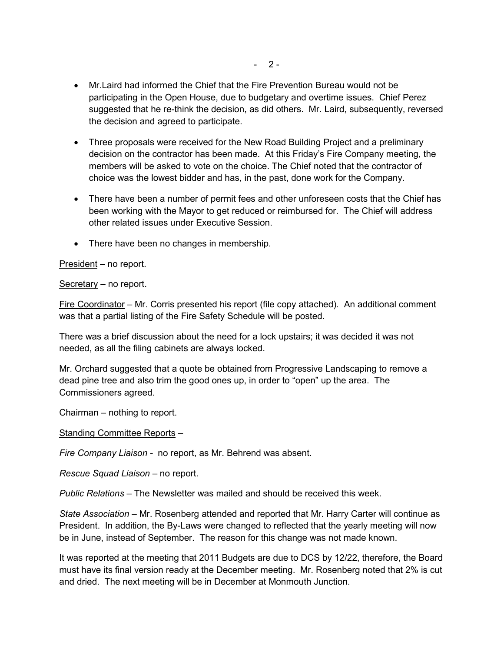- Mr.Laird had informed the Chief that the Fire Prevention Bureau would not be participating in the Open House, due to budgetary and overtime issues. Chief Perez suggested that he re-think the decision, as did others. Mr. Laird, subsequently, reversed the decision and agreed to participate.
- Three proposals were received for the New Road Building Project and a preliminary decision on the contractor has been made. At this Friday's Fire Company meeting, the members will be asked to vote on the choice. The Chief noted that the contractor of choice was the lowest bidder and has, in the past, done work for the Company.
- There have been a number of permit fees and other unforeseen costs that the Chief has been working with the Mayor to get reduced or reimbursed for. The Chief will address other related issues under Executive Session.
- There have been no changes in membership.

President – no report.

Secretary – no report.

Fire Coordinator – Mr. Corris presented his report (file copy attached). An additional comment was that a partial listing of the Fire Safety Schedule will be posted.

There was a brief discussion about the need for a lock upstairs; it was decided it was not needed, as all the filing cabinets are always locked.

Mr. Orchard suggested that a quote be obtained from Progressive Landscaping to remove a dead pine tree and also trim the good ones up, in order to "open" up the area. The Commissioners agreed.

Chairman – nothing to report.

Standing Committee Reports –

*Fire Company Liaison -* no report, as Mr. Behrend was absent.

*Rescue Squad Liaison –* no report.

*Public Relations* – The Newsletter was mailed and should be received this week.

*State Association* – Mr. Rosenberg attended and reported that Mr. Harry Carter will continue as President. In addition, the By-Laws were changed to reflected that the yearly meeting will now be in June, instead of September. The reason for this change was not made known.

It was reported at the meeting that 2011 Budgets are due to DCS by 12/22, therefore, the Board must have its final version ready at the December meeting. Mr. Rosenberg noted that 2% is cut and dried. The next meeting will be in December at Monmouth Junction.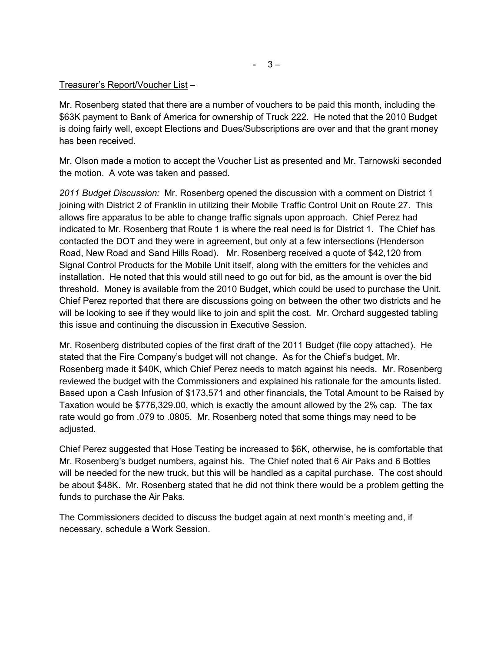$-3-$ 

## Treasurer's Report/Voucher List –

Mr. Rosenberg stated that there are a number of vouchers to be paid this month, including the \$63K payment to Bank of America for ownership of Truck 222. He noted that the 2010 Budget is doing fairly well, except Elections and Dues/Subscriptions are over and that the grant money has been received.

Mr. Olson made a motion to accept the Voucher List as presented and Mr. Tarnowski seconded the motion. A vote was taken and passed.

*2011 Budget Discussion:* Mr. Rosenberg opened the discussion with a comment on District 1 joining with District 2 of Franklin in utilizing their Mobile Traffic Control Unit on Route 27. This allows fire apparatus to be able to change traffic signals upon approach. Chief Perez had indicated to Mr. Rosenberg that Route 1 is where the real need is for District 1. The Chief has contacted the DOT and they were in agreement, but only at a few intersections (Henderson Road, New Road and Sand Hills Road). Mr. Rosenberg received a quote of \$42,120 from Signal Control Products for the Mobile Unit itself, along with the emitters for the vehicles and installation. He noted that this would still need to go out for bid, as the amount is over the bid threshold. Money is available from the 2010 Budget, which could be used to purchase the Unit. Chief Perez reported that there are discussions going on between the other two districts and he will be looking to see if they would like to join and split the cost. Mr. Orchard suggested tabling this issue and continuing the discussion in Executive Session.

Mr. Rosenberg distributed copies of the first draft of the 2011 Budget (file copy attached). He stated that the Fire Company's budget will not change. As for the Chief's budget, Mr. Rosenberg made it \$40K, which Chief Perez needs to match against his needs. Mr. Rosenberg reviewed the budget with the Commissioners and explained his rationale for the amounts listed. Based upon a Cash Infusion of \$173,571 and other financials, the Total Amount to be Raised by Taxation would be \$776,329.00, which is exactly the amount allowed by the 2% cap. The tax rate would go from .079 to .0805. Mr. Rosenberg noted that some things may need to be adjusted.

Chief Perez suggested that Hose Testing be increased to \$6K, otherwise, he is comfortable that Mr. Rosenberg's budget numbers, against his. The Chief noted that 6 Air Paks and 6 Bottles will be needed for the new truck, but this will be handled as a capital purchase. The cost should be about \$48K. Mr. Rosenberg stated that he did not think there would be a problem getting the funds to purchase the Air Paks.

The Commissioners decided to discuss the budget again at next month's meeting and, if necessary, schedule a Work Session.